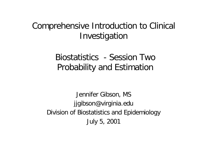# Comprehensive Introduction to Clinical Investigation

# Biostatistics - Session Two Probability and Estimation

Jennifer Gibson, MS jjgibson@virginia.edu Division of Biostatistics and Epidemiology July 5, 2001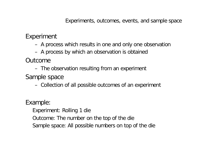Experiment

- A process which results in one and only one observation
- A process by which an observation is obtained

Outcome

– The observation resulting from an experiment

Sample space

– Collection of all possible outcomes of an experiment

Example:

- Experiment: Rolling 1 die
- Outcome: The number on the top of the die
- Sample space: All possible numbers on top of the die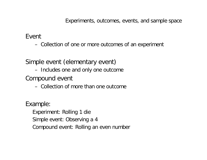Event

– Collection of one or more outcomes of an experiment

Simple event (elementary event)

– Includes one and only one outcome

Compound event

– Collection of more than one outcome

Example:

- Experiment: Rolling 1 die
- Simple event: Observing a 4
- Compound event: Rolling an even number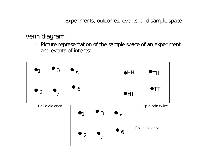# Venn diagram

– Picture representation of the sample space of an experiment and events of interest

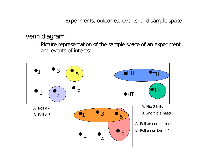# Venn diagram

– Picture representation of the sample space of an experiment and events of interest

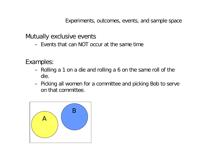Mutually exclusive events

– Events that can NOT occur at the same time

Examples:

- Rolling a 1 on a die and rolling a 6 on the same roll of the die.
- Picking all women for a committee and picking Bob to serve on that committee.

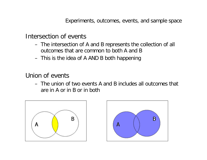Intersection of events

- The intersection of A and B represents the collection of all outcomes that are common to both A and B
- This is the idea of A AND B both happening

Union of events

– The union of two events A and B includes all outcomes that are in A or in B or in both



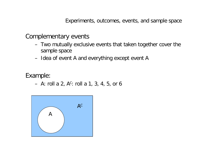Complementary events

- Two mutually exclusive events that taken together cover the sample space
- Idea of event A and everything except event A

Example:

 $-$  A: roll a 2, A $c$ : roll a 1, 3, 4, 5, or 6

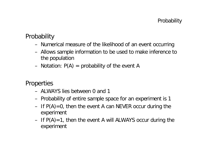# **Probability**

- Numerical measure of the likelihood of an event occurring
- Allows sample information to be used to make inference to the population
- Notation:  $P(A)$  = probability of the event A

**Properties** 

- ALWAYS lies between 0 and 1
- Probability of entire sample space for an experiment is 1
- If  $P(A)=0$ , then the event A can NEVER occur during the experiment
- $-$  If  $P(A)=1$ , then the event A will ALWAYS occur during the experiment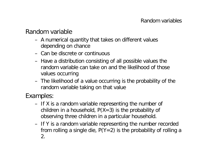Random variable

- A numerical quantity that takes on different values depending on chance
- Can be discrete or continuous
- Have a distribution consisting of all possible values the random variable can take on and the likelihood of those values occurring
- The likelihood of a value occurring is the probability of the random variable taking on that value

Examples:

- If X is a random variable representing the number of children in a household,  $P(X=3)$  is the probability of observing three children in a particular household.
- If Y is a random variable representing the number recorded from rolling a single die,  $P(Y=2)$  is the probability of rolling a 2.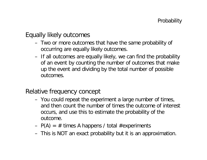Equally likely outcomes

- Two or more outcomes that have the same probability of occurring are equally likely outcomes.
- If all outcomes are equally likely, we can find the probability of an event by counting the number of outcomes that make up the event and dividing by the total number of possible outcomes.

Relative frequency concept

- You could repeat the experiment a large number of times, and then count the number of times the outcome of interest occurs, and use this to estimate the probability of the outcome.
- $P(A) = #$  times A happens / total #experiments
- This is NOT an exact probability but it is an approximation.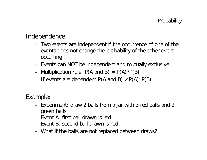## Independence

- Two events are independent if the occurrence of one of the events does not change the probability of the other event occurring
- Events can NOT be independent and mutually exclusive
- Multiplication rule:  $P(A \text{ and } B) = P(A)^*P(B)$
- If events are dependent  $P(A \text{ and } B) \neq P(A) * P(B)$

Example:

- Experiment: draw 2 balls from a jar with 3 red balls and 2 green balls Event A: first ball drawn is red Event B: second ball drawn is red
- What if the balls are not replaced between draws?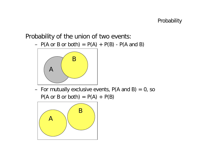## Probability of the union of two events:

 $- P(A \text{ or } B \text{ or both}) = P(A) + P(B) - P(A \text{ and } B)$ 



- For mutually exclusive events,  $P(A \text{ and } B) = 0$ , so  $P(A \text{ or } B \text{ or both}) = P(A) + P(B)$ 

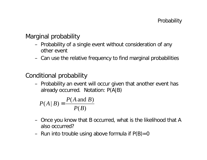Marginal probability

- Probability of a single event without consideration of any other event
- Can use the relative frequency to find marginal probabilities

Conditional probability

– Probability an event will occur given that another event has already occurred. Notation: P(A|B)

$$
P(A | B) = \frac{P(A \text{ and } B)}{P(B)}
$$

- Once you know that B occurred, what is the likelihood that A also occurred?
- Run into trouble using above formula if  $P(B)=0$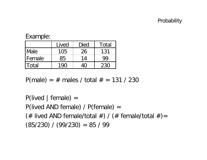#### Probability

#### Example:

|              | Lived | Died | Total     |
|--------------|-------|------|-----------|
| <b>IMale</b> | 105   | 26   | 131       |
| l Female     | 85    | 14   | <b>QO</b> |
| ITotal       |       |      | 230       |

 $P(male) = # males / total # = 131 / 230$ 

 $P($ lived | female $) =$ P(lived AND female) / P(female) = (# lived AND female/total #) / (# female/total #) =  $(85/230) / (99/230) = 85 / 99$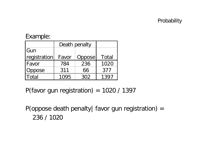#### Probability

## Example:

|               | Death penalty |        |       |
|---------------|---------------|--------|-------|
| l Gun         |               |        |       |
| registration  | Favor         | Oppose | Total |
| <b> Favor</b> | 784           | 236    | 1020  |
| Oppose        | 311           | 66     | 377   |
| -ntal         | 1095          | 302    | 1397  |

P(favor gun registration) =  $1020 / 1397$ 

P(oppose death penalty| favor gun registration) = 236 / 1020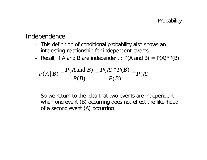#### Independence

- This definition of conditional probability also shows an interesting relationship for independent events.
- Recall, if A and B are independent :  $P(A \text{ and } B) = P(A)^*P(B)$

$$
P(A | B) = \frac{P(A \text{ and } B)}{P(B)} = \frac{P(A) * P(B)}{P(B)} = P(A)
$$

– So we return to the idea that two events are independent when one event (B) occurring does not effect the likelihood of a second event (A) occurring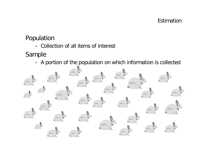#### Estimation

Population

– Collection of all items of interest

Sample

– A portion of the population on which information is collected

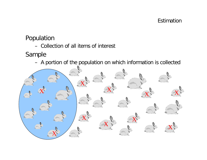#### Estimation

Population

– Collection of all items of interest

Sample

– A portion of the population on which information is collected

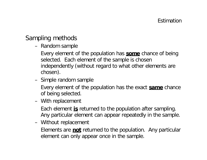# Sampling methods

- Random sample
	- Every element of the population has **some** chance of being selected. Each element of the sample is chosen independently (without regard to what other elements are chosen).
- Simple random sample
	- Every element of the population has the exact **same** chance of being selected.
- With replacement
	- Each element **is** returned to the population after sampling. Any particular element can appear repeatedly in the sample.
- Without replacement
	- Elements are **not** returned to the population. Any particular element can only appear once in the sample.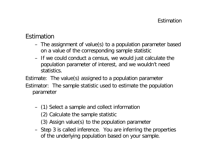# Estimation

- The assignment of value(s) to a population parameter based on a value of the corresponding sample statistic
- If we could conduct a census, we would just calculate the population parameter of interest, and we wouldn't need statistics.

Estimate: The value(s) assigned to a population parameter Estimator: The sample statistic used to estimate the population parameter

- (1) Select a sample and collect information
	- (2) Calculate the sample statistic
	- (3) Assign value(s) to the population parameter
- Step 3 is called inference. You are inferring the properties of the underlying population based on your sample.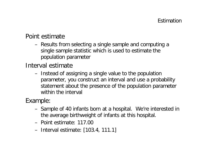## Point estimate

– Results from selecting a single sample and computing a single sample statistic which is used to estimate the population parameter

Interval estimate

– Instead of assigning a single value to the population parameter, you construct an interval and use a probability statement about the presence of the population parameter within the interval

Example:

- Sample of 40 infants born at a hospital. We're interested in the average birthweight of infants at this hospital.
- Point estimate: 117.00
- Interval estimate: [103.4, 111.1]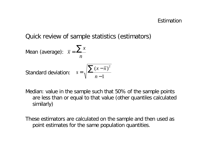Quick review of sample statistics (estimators)

Mean (average): 
$$
\bar{x} = \frac{\sum x}{n}
$$
  
Standard deviation:  $s = \sqrt{\frac{\sum (x - \bar{x})^2}{n-1}}$ 

- Median: value in the sample such that 50% of the sample points are less than or equal to that value (other quantiles calculated similarly)
- These estimators are calculated on the sample and then used as point estimates for the same population quantities.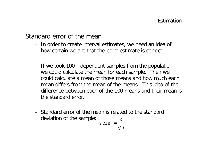## Standard error of the mean

- In order to create interval estimates, we need an idea of how certain we are that the point estimate is correct.
- If we took 100 independent samples from the population, we could calculate the mean for each sample. Then we could calculate a mean of those means and how much each mean differs from the mean of the means. This idea of the difference between each of the 100 means and their mean is the standard error.
- Standard error of the mean is related to the standard deviation of the sample: *s*

$$
s.e.m. = \frac{s}{\sqrt{n}}
$$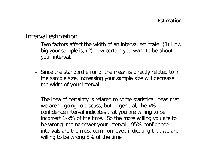Interval estimation

- Two factors affect the width of an interval estimate: (1) How big your sample is, (2) how certain you want to be about your interval.
- Since the standard error of the mean is directly related to *n*, the sample size, increasing your sample size will decrease the width of your interval.
- The idea of certainty is related to some statistical ideas that we aren't going to discuss, but in general, the x% confidence interval indicates that you are willing to be incorrect 1-x% of the time. So the more willing you are to be wrong, the narrower your interval. 95% confidence intervals are the most common level, indicating that we are willing to be wrong 5% of the time.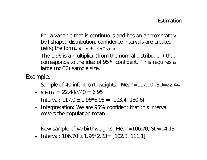- For a variable that is continuous and has an approximately bell-shaped distribution, confidence intervals are created using the formula:  $\bar{x} \pm 1.96$ \*s.e.m.
- The 1.96 is a multiplier (from the normal distribution) that corresponds to the idea of 95% confident. This requires a large (n>30) sample size.

Example:

- Sample of 40 infant birthweights: Mean=117.00, SD=22.44
- $-$  s.e.m. = 22.44/ $\sqrt{40}$  = 6.95
- $-$  Interval: 117.0  $\pm$  1.96\*6.95 = [103.4, 130.6]
- Interpretation: We are 95% confident that this interval covers the population mean.
- New sample of 40 birthweights: Mean=106.70, SD=14.13
- $-$  Interval: 106.70  $\pm$  1.96\*2.23 = [102.3, 111.1]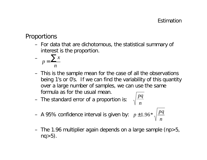# Proportions

– For data that are dichotomous, the statistical summary of interest is the proportion.

$$
- p = \frac{\sum x}{n}
$$

- This is the sample mean for the case of all the observations being 1's or 0's. If we can find the variability of this quantity over a large number of samples, we can use the same formula as for the usual mean.
- The standard error of a proportion is:

$$
\sqrt{\frac{pq}{n}}
$$

- A 95% confidence interval is given by: *n pq p* ±1.96\*
- The 1.96 multiplier again depends on a large sample (np>5,  $nq>5$ ).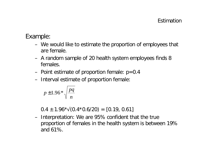# Example:

- We would like to estimate the proportion of employees that are female.
- A random sample of 20 health system employees finds 8 females.
- Point estimate of proportion female:  $p=0.4$
- Interval estimate of proportion female:

$$
p\pm 1.96*\sqrt{\frac{pq}{n}}
$$

 $0.4 \pm 1.96 \times \sqrt{(0.4 \times 0.6/20)} = [0.19, 0.61]$ 

– Interpretation: We are 95% confident that the true proportion of females in the health system is between 19% and 61%.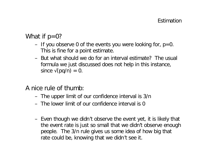## What if  $p=0$ ?

- $-$  If you observe 0 of the events you were looking for,  $p=0$ . This is fine for a point estimate.
- But what should we do for an interval estimate? The usual formula we just discussed does not help in this instance, since  $\sqrt{(pq/n)} = 0$ .

A nice rule of thumb:

- The upper limit of our confidence interval is 3/n
- The lower limit of our confidence interval is 0
- Even though we didn't observe the event yet, it is likely that the event rate is just so small that we didn't observe enough people. The 3/n rule gives us some idea of how big that rate could be, knowing that we didn't see it.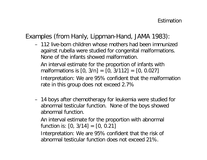# Examples (from Hanly, Lippman-Hand, JAMA 1983):

– 112 live-born children whose mothers had been immunized against rubella were studied for congenital malformations. None of the infants showed malformation.

An interval estimate for the proportion of infants with malformations is  $[0, 3/n] = [0, 3/112] = [0, 0.027]$ 

Interpretation: We are 95% confident that the malformation rate in this group does not exceed 2.7%

– 14 boys after chemotherapy for leukemia were studied for abnormal testicular function. None of the boys showed abnormal function.

An interval estimate for the proportion with abnormal function is:  $[0, 3/14] = [0, 0.21]$ 

Interpretation: We are 95% confident that the risk of abnormal testicular function does not exceed 21%.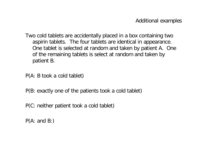Two cold tablets are accidentally placed in a box containing two aspirin tablets. The four tablets are identical in appearance. One tablet is selected at random and taken by patient A. One of the remaining tablets is select at random and taken by patient B.

P(A: B took a cold tablet)

P(B: exactly one of the patients took a cold tablet)

P(C: neither patient took a cold tablet)

P(A: and B:)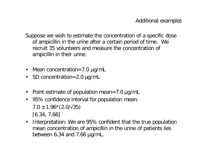Suppose we wish to estimate the concentration of a specific dose of ampicillin in the urine after a certain period of time. We recruit 35 volunteers and measure the concentration of ampicillin in their urine.

- Mean concentration=7.0 μg/mL
- SD concentration=2.0 μg/mL
- Point estimate of population mean=7.0 μg/mL
- 95% confidence interval for population mean:  $7.0 \pm 1.96 \times (2.0/\sqrt{35})$ [6.34, 7.66]
- Interpretation: We are 95% confident that the true population mean concentration of ampicillin in the urine of patients lies between 6.34 and 7.66 μg/mL.